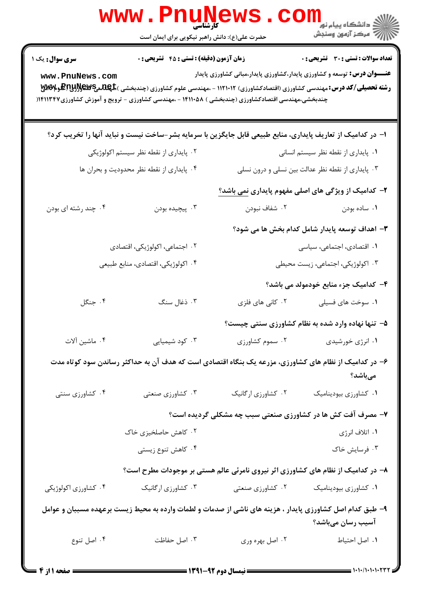|                                           | <b>www.PnuNews</b><br>حضرت علی(ع): دانش راهبر نیکویی برای ایمان است                                                                                   |                            | ر دانشگاه پيام نور <mark>−</mark><br>ار∕* مرکز آزمون وسنجش                                                                                                                                                                                                               |  |
|-------------------------------------------|-------------------------------------------------------------------------------------------------------------------------------------------------------|----------------------------|--------------------------------------------------------------------------------------------------------------------------------------------------------------------------------------------------------------------------------------------------------------------------|--|
| <b>سری سوال :</b> یک ۱<br>www.PnuNews.com | <b>زمان آزمون (دقیقه) : تستی : 45 تشریحی : 0</b><br>چندبخشی،مهندسی اقتصادکشاورزی (چندبخشی ) ۱۴۱۱۰۵۸ - ،مهندسی کشاورزی - ترویج و آموزش کشاورزی۱۴۱۱۳۴۷( |                            | <b>تعداد سوالات : تستی : 30 ٪ تشریحی : 0</b><br><b>عنـــوان درس:</b> توسعه و کشاورزی پایدار،کشاورزی پایدار،مبانی کشاورزی پایدار<br><b>رشته تحصیلی/کد درس:</b> مهندسی کشاورزی (اقتصادکشاورزی) ۱۱۲۱۰۱۲ - ،مهندسی علوم کشاورزی (چندبخشی ) <b>.P:WE یکپایآلو P:MS و P:MS</b> |  |
|                                           | ا- در کدامیک از تعاریف پایداری، منابع طبیعی قابل جایگزین با سرمایه بشر-ساخت نیست و نباید آنها را تخریب کرد؟                                           |                            |                                                                                                                                                                                                                                                                          |  |
|                                           | ۰۲ پایداری از نقطه نظر سیستم اکولوژیکی                                                                                                                |                            | ٠١ پايداري از نقطه نظر سيستم انساني                                                                                                                                                                                                                                      |  |
|                                           | ۰۴ پایداری از نقطه نظر محدودیت و بحران ها                                                                                                             |                            | ۰۳ پایداری از نقطه نظر عدالت بین نسلی و درون نسلی                                                                                                                                                                                                                        |  |
|                                           |                                                                                                                                                       |                            | ۲– کدامیک از ویژگی های اصلی مفهوم پایداری نمی باشد؟                                                                                                                                                                                                                      |  |
| ۰۴ چند رشته ای بودن                       | ۰۳ پیچیده بودن                                                                                                                                        | ۰۲ شفاف نبودن              | ۰۱ ساده بودن                                                                                                                                                                                                                                                             |  |
|                                           |                                                                                                                                                       |                            | ۳- اهداف توسعه پایدار شامل کدام بخش ها می شود؟                                                                                                                                                                                                                           |  |
|                                           | ۲. اجتماعی، اکولوژیکی، اقتصادی                                                                                                                        | ۰۱ اقتصادی، اجتماعی، سیاسی |                                                                                                                                                                                                                                                                          |  |
|                                           | ۰۴ اکولوژیکی، اقتصادی، منابع طبیعی                                                                                                                    |                            | ۰۳ اکولوژیکی، اجتماعی، زیست محیطی                                                                                                                                                                                                                                        |  |
|                                           |                                                                                                                                                       |                            | ۴– کدامیک جزء منابع خودمولد می باشد؟                                                                                                                                                                                                                                     |  |
| ۰۴ جنگل                                   | ۰۳ ذغال سنگ                                                                                                                                           | ۰۲ کانی های فلزی           | ۰۱ سوخت های فسیلی                                                                                                                                                                                                                                                        |  |
|                                           |                                                                                                                                                       |                            | ۵- تنها نهاده وارد شده به نظام کشاورزی سنتی چیست؟                                                                                                                                                                                                                        |  |
| ۰۴ ماشين آلات                             | ۰۳ کود شیمیایی                                                                                                                                        | ٠٢ سموم كشاورزى            | ۰۱ انرژی خورشیدی                                                                                                                                                                                                                                                         |  |
|                                           | ۶– در کدامیک از نظام های کشاورزی، مزرعه یک بنگاه اقتصادی است که هدف آن به حداکثر رساندن سود کوتاه مدت                                                 |                            | مىباشد؟                                                                                                                                                                                                                                                                  |  |
| ۰۴ کشاورزی سنتی                           | ۰۳ کشاورزی صنعتی                                                                                                                                      | ٠٢ كشاورزي اركانيك         | ٠١ كشاورزى بيوديناميك                                                                                                                                                                                                                                                    |  |
|                                           |                                                                                                                                                       |                            | ۷- مصرف آفت کش ها در کشاورزی صنعتی سبب چه مشکلی گردیده است؟                                                                                                                                                                                                              |  |
|                                           | ۰۲ کاهش حاصلخیزی خاک                                                                                                                                  |                            | ۰۱ اتلاف انرژی                                                                                                                                                                                                                                                           |  |
|                                           | ۰۴ کاهش تنوع زیستی                                                                                                                                    |                            | ۰۳ فرسایش خاک                                                                                                                                                                                                                                                            |  |
|                                           | ۸– در کدامیک از نظام های کشاورزی اثر نیروی نامرئی عالم هستی بر موجودات مطرح است؟                                                                      |                            |                                                                                                                                                                                                                                                                          |  |
| ۰۴ کشاورزی اکولوژیکی                      | ۰۳ کشاورزی ارگانیک                                                                                                                                    | ۰۲ کشاورزی صنعتی           | ٠١ كشاورزى بيوديناميك                                                                                                                                                                                                                                                    |  |
|                                           | ۹– طبق کدام اصل کشاورزی پایدار ، هزینه های ناشی از صدمات و لطمات وارده به محیط زیست برعهده مسببان و عوامل                                             |                            | آسیب رسان میباشد؟                                                                                                                                                                                                                                                        |  |
| ۰۴ اصل تنوع                               | ۰۳ اصل حفاظت                                                                                                                                          | ۰۲ اصل بهره وری            | ٠١ اصل احتياط                                                                                                                                                                                                                                                            |  |
|                                           |                                                                                                                                                       |                            |                                                                                                                                                                                                                                                                          |  |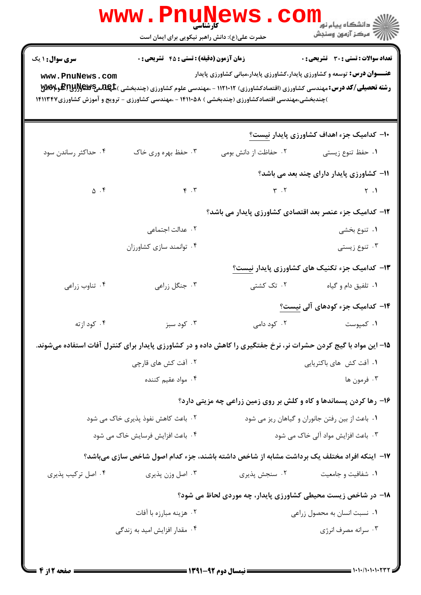| <b>WWW</b>                    | کارشناسی<br>حضرت علی(ع): دانش راهبر نیکویی برای ایمان است |                                                                                                                                                                                                                                      | <sup>ار</sup> دانشگاه پيام نور <mark>−</mark><br>ار∕ = مرکز آزمون وسنجش |
|-------------------------------|-----------------------------------------------------------|--------------------------------------------------------------------------------------------------------------------------------------------------------------------------------------------------------------------------------------|-------------------------------------------------------------------------|
| <b>سری سوال : ۱ یک</b>        | <b>زمان آزمون (دقیقه) : تستی : 45 تشریحی : 0</b>          |                                                                                                                                                                                                                                      | <b>تعداد سوالات : تستی : 30 ٪ تشریحی : 0</b>                            |
| www.PnuNews.com               |                                                           | <b>عنـــوان درس:</b> توسعه و کشاورزی پایدار،کشاورزی پایدار،مبانی کشاورزی پایدار                                                                                                                                                      |                                                                         |
|                               |                                                           | <b>رشته تحصیلی/کد درس:</b> مهندسی کشاورزی (اقتصادکشاورزی) ۱۱۲۱۰۱۲ - ،مهندسی علوم کشاورزی (چندبخشی ) <b>.RewEپRu و PARA و WW</b><br>)چندبخشی،مهندسی اقتصادکشاورزی (چندبخشی ) ۱۴۱۱۰۵۸ - ،مهندسی کشاورزی - ترویج و آموزش کشاورزی۱۴۱۱۳۴۷ |                                                                         |
|                               |                                                           |                                                                                                                                                                                                                                      |                                                                         |
|                               |                                                           |                                                                                                                                                                                                                                      | <b>۱۰</b> - کدامیک جزء اهداف کشاورزی پایدار نیست؟                       |
| ۰۴ حداکثر رساندن سود          | ۰۳ حفظ بهره وری خاک                                       | ٠٢ حفاظت از دانش بومي                                                                                                                                                                                                                | ۰۱ حفظ تنوع زیستی                                                       |
|                               |                                                           |                                                                                                                                                                                                                                      | 11- کشاورزی پایدار دارای چند بعد می باشد؟                               |
| $\Delta$ . $\mathfrak k$      | F.7                                                       |                                                                                                                                                                                                                                      | $\begin{array}{ccc}\n\gamma & . & \gamma & . & \gamma\n\end{array}$     |
|                               |                                                           | ۱۲- کدامیک جزء عنصر بعد اقتصادی کشاورزی پایدار می باشد؟                                                                                                                                                                              |                                                                         |
|                               | ۰۲ عدالت اجتماعی                                          |                                                                                                                                                                                                                                      | ۰۱ تنوع بخشی                                                            |
|                               | ۰۴ توانمند سازی کشاورزان                                  |                                                                                                                                                                                                                                      | ۰۳ تنوع زیستی                                                           |
|                               |                                                           |                                                                                                                                                                                                                                      | ۱۳- کدامیک جزء تکنیک های کشاورزی پایدار <u>نیست؟</u>                    |
| ۰۴ تناوب زراعي                | ۰۳ جنگل زراعی                                             |                                                                                                                                                                                                                                      |                                                                         |
|                               |                                                           |                                                                                                                                                                                                                                      | ۱۴– کدامیک جزء کودهای آلی نیست <u>؟</u>                                 |
| ۰۴ کود ازته                   | ۰۳ کود سبز                                                | ۰۲ کود دامی                                                                                                                                                                                                                          | ۰۱ کمپوست                                                               |
|                               |                                                           | ۱۵– این مواد با گیج کردن حشرات نر، نرخ جفتگیری را کاهش داده و در کشاورزی پایدار برای کنترل آفات استفاده میشوند.                                                                                                                      |                                                                         |
| ۰۲ آفت کش های قارچی           |                                                           | ۰۱ آفت کش های باکتریایی                                                                                                                                                                                                              |                                                                         |
|                               | ۰۴ مواد عقیم کننده                                        |                                                                                                                                                                                                                                      | ۰۳ فرمون ها                                                             |
|                               |                                                           | ۱۶- رها کردن پسماندها و کاه و کلش بر روی زمین زراعی چه مزیتی دارد؟                                                                                                                                                                   |                                                                         |
|                               | ۰۲ باعث کاهش نفوذ پذیری خاک می شود                        | ٠١ باعث از بين رفتن جانوران و گياهان ريز مي شود                                                                                                                                                                                      |                                                                         |
|                               | ۰۴ باعث افزایش فرسایش خاک می شود                          |                                                                                                                                                                                                                                      | ۰۳ باعث افزایش مواد آلی خاک می شود                                      |
|                               |                                                           | ۱۷– اینکه افراد مختلف یک برداشت مشابه از شاخص داشته باشند، جزء کدام اصول شاخص سازی میباشد؟                                                                                                                                           |                                                                         |
| ۰۴ اصل ترکیب پذیری            | ۰۳ اصل وزن پذیری                                          | ۰۲ سنجش پذیری                                                                                                                                                                                                                        | ۰۱ شفافیت و جامعیت                                                      |
|                               |                                                           | <b>۱۸</b> - در شاخص زیست محیطی کشاورزی پایدار، چه موردی لحاظ می شود؟                                                                                                                                                                 |                                                                         |
|                               | ۰۲ هزینه مبارزه با آفات                                   |                                                                                                                                                                                                                                      | ۰۱ نسبت انسان به محصول زراعی                                            |
| ۰۴ مقدار افزایش امید به زندگی |                                                           |                                                                                                                                                                                                                                      | ۰۳ سرانه مصرف انرژی                                                     |
|                               |                                                           |                                                                                                                                                                                                                                      |                                                                         |

 $= 1.1 - (1.1 - 1.177$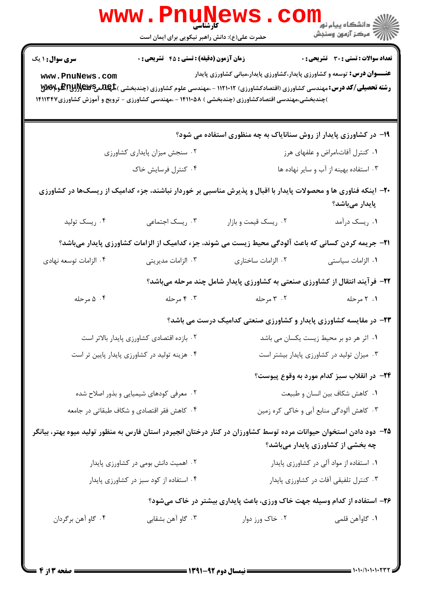|                                                                          | كأرشناسي<br>حضرت علی(ع): دانش راهبر نیکویی برای ایمان است |                                                                                                                                                                                                                                                                                                                        |                                              |  |
|--------------------------------------------------------------------------|-----------------------------------------------------------|------------------------------------------------------------------------------------------------------------------------------------------------------------------------------------------------------------------------------------------------------------------------------------------------------------------------|----------------------------------------------|--|
| سری سوال: ۱ یک<br>www.PnuNews.com                                        | زمان آزمون (دقیقه) : تستی : ۴۵ قشریحی : 0                 | <b>عنـــوان درس:</b> توسعه و کشاورزی پایدار،کشاورزی پایدار،مبانی کشاورزی پایدار<br><b>رشته تحصیلی/کد درس:</b> مهندسی کشاورزی (اقتصادکشاورزی) ۱۱۲۱۰۱۲ - ،مهندسی علوم کشاورزی (چندبخشی ) <b>.RewEپRu و PARAه</b> آی<br>)چندبخشی،مهندسی اقتصادکشاورزی (چندبخشی ) ۱۴۱۱۰۵۸ - ،مهندسی کشاورزی - ترویج و آموزش کشاورزی۱۴۱۱۳۴۷ | <b>تعداد سوالات : تستی : 30 ٪ تشریحی : 0</b> |  |
|                                                                          |                                                           | ۱۹- در کشاورزی پایدار از روش سنانایاک به چه منظوری استفاده می شود؟                                                                                                                                                                                                                                                     |                                              |  |
|                                                                          | ۰۲ سنجش میزان پایداری کشاورزی                             | ۰۱ کنترل آفات،امراض و علفهای هرز                                                                                                                                                                                                                                                                                       |                                              |  |
|                                                                          | ۰۴ کنترل فرسایش خاک                                       | ۰۳ استفاده بهینه از آب و سایر نهاده ها                                                                                                                                                                                                                                                                                 |                                              |  |
|                                                                          |                                                           | <b>۲۰</b> - اینکه فناوری ها و محصولات پایدار با اقبال و پذیرش مناسبی بر خوردار نباشند، جزء کدامیک از ریسکها در کشاورزی                                                                                                                                                                                                 | پایدار میباشد؟                               |  |
| ۰۴ ریسک تولید                                                            | ۰۳ ریسک اجتماعی                                           | ۰۲ ریسک قیمت و بازار                                                                                                                                                                                                                                                                                                   | ۰۱ ریسک درآمد                                |  |
|                                                                          |                                                           | <b>۲۱</b> - جریمه کردن کسانی که باعث آلودگی محیط زیست می شوند، جزء کدامیک از الزامات کشاورزی پایدار میباشد؟                                                                                                                                                                                                            |                                              |  |
| ۰۴ الزامات توسعه نهادى                                                   | ۰۳ الزامات مدیریتی                                        | ۰۲ الزامات ساختاری                                                                                                                                                                                                                                                                                                     | ۰۱ الزامات سیاستی                            |  |
|                                                                          |                                                           | ۲۲- فرآیند انتقال از کشاورزی صنعتی به کشاورزی پایدار شامل چند مرحله میباشد؟                                                                                                                                                                                                                                            |                                              |  |
| ۰۴ ۵ مرحله                                                               | ۰۳ مرحله                                                  | ۰۲ مرحله                                                                                                                                                                                                                                                                                                               | ۰۱ ۲ مرحله                                   |  |
|                                                                          |                                                           | <b>۲۳</b> - در مقایسه کشاورزی پایدار و کشاورزی صنعتی کدامیک درست می باشد؟                                                                                                                                                                                                                                              |                                              |  |
|                                                                          | ۰۲ بازده اقتصادی کشاورزی پایدار بالاتر است                | ۰۱ اثر هر دو بر محیط زیست یکسان می باشد                                                                                                                                                                                                                                                                                |                                              |  |
|                                                                          | ۰۴ هزینه تولید در کشاورزی پایدار پایین تر است             | ۰۳ میزان تولید در کشاورزی پایدار بیشتر است                                                                                                                                                                                                                                                                             |                                              |  |
|                                                                          |                                                           |                                                                                                                                                                                                                                                                                                                        | ۲۴– در انقلاب سبز کدام مورد به وقوع پیوست؟   |  |
|                                                                          | ۰۲ معرفی کودهای شیمیایی و بذور اصلاح شده                  | ٠١ كاهش شكاف بين انسان و طبيعت                                                                                                                                                                                                                                                                                         |                                              |  |
|                                                                          | ۰۴ کاهش فقر اقتصادی و شکاف طبقاتی در جامعه                | ۰۳ کاهش آلودگی منابع آبی و خاکی کره زمین                                                                                                                                                                                                                                                                               |                                              |  |
|                                                                          |                                                           | ۲۵– دود دادن استخوان حیوانات مرده توسط کشاورزان در کنار درختان انجیردر استان فارس به منظور تولید میوه بهتر، بیانگر                                                                                                                                                                                                     | چه بخشی از کشاورزی پایدار میباشد؟            |  |
| ۰۲ اهمیت دانش بومی در کشاورزی پایدار                                     |                                                           | ۰۱ استفاده از مواد آلی در کشاورزی پایدار                                                                                                                                                                                                                                                                               |                                              |  |
|                                                                          | ۰۴ استفاده از کود سبز در کشاورزی پایدار                   |                                                                                                                                                                                                                                                                                                                        | ۰۳ کنترل تلفیقی آفات در کشاورزی پایدار       |  |
| ۲۶- استفاده از کدام وسیله جهت خاک ورزی، باعث پایداری بیشتر در خاک میشود؟ |                                                           |                                                                                                                                                                                                                                                                                                                        |                                              |  |
| ۰۴ گاو آهن برگردان                                                       | ۰۳ گاو آهن بشقابي                                         | ۰۲ خاک ورز دوار                                                                                                                                                                                                                                                                                                        | ٠١. گاوآهن قلمي                              |  |
|                                                                          |                                                           |                                                                                                                                                                                                                                                                                                                        |                                              |  |

 $= 1.1 - 11.1 - 11.77$